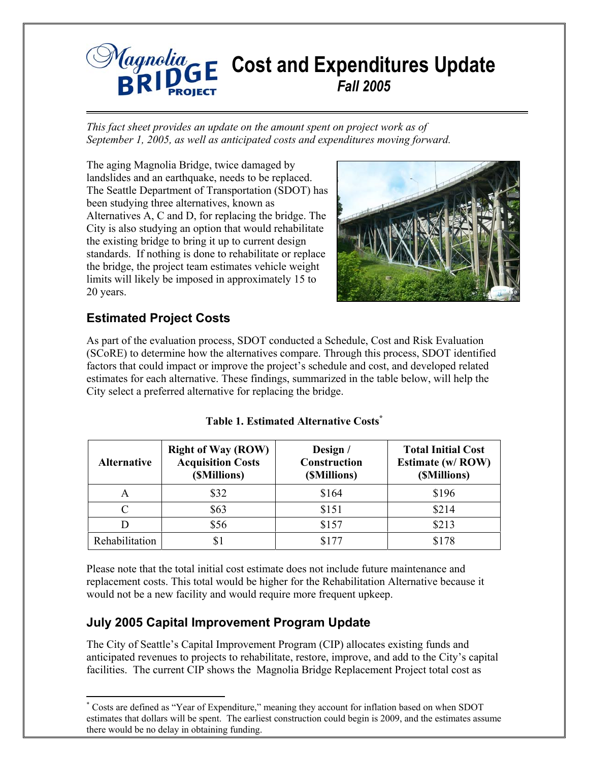

*This fact sheet provides an update on the amount spent on project work as of September 1, 2005, as well as anticipated costs and expenditures moving forward.* 

The aging Magnolia Bridge, twice damaged by landslides and an earthquake, needs to be replaced. The Seattle Department of Transportation (SDOT) has been studying three alternatives, known as Alternatives A, C and D, for replacing the bridge. The City is also studying an option that would rehabilitate the existing bridge to bring it up to current design standards. If nothing is done to rehabilitate or replace the bridge, the project team estimates vehicle weight limits will likely be imposed in approximately 15 to 20 years.



# **Estimated Project Costs**

As part of the evaluation process, SDOT conducted a Schedule, Cost and Risk Evaluation (SCoRE) to determine how the alternatives compare. Through this process, SDOT identified factors that could impact or improve the project's schedule and cost, and developed related estimates for each alternative. These findings, summarized in the table below, will help the City select a preferred alternative for replacing the bridge.

| <b>Alternative</b> | <b>Right of Way (ROW)</b><br><b>Acquisition Costs</b><br>(SMillions) | Design /<br><b>Construction</b><br>(SMillions) | <b>Total Initial Cost</b><br><b>Estimate (w/ ROW)</b><br>(SMillions) |
|--------------------|----------------------------------------------------------------------|------------------------------------------------|----------------------------------------------------------------------|
| A                  | \$32                                                                 | \$164                                          | \$196                                                                |
|                    | \$63                                                                 | \$151                                          | \$214                                                                |
|                    | \$56                                                                 | \$157                                          | \$213                                                                |
| Rehabilitation     |                                                                      | \$177                                          | \$178                                                                |

#### **Table 1. Estimated Alternative Costs\***

Please note that the total initial cost estimate does not include future maintenance and replacement costs. This total would be higher for the Rehabilitation Alternative because it would not be a new facility and would require more frequent upkeep.

## **July 2005 Capital Improvement Program Update**

The City of Seattle's Capital Improvement Program (CIP) allocates existing funds and anticipated revenues to projects to rehabilitate, restore, improve, and add to the City's capital facilities. The current CIP shows the Magnolia Bridge Replacement Project total cost as

 $\overline{a}$ \* Costs are defined as "Year of Expenditure," meaning they account for inflation based on when SDOT estimates that dollars will be spent. The earliest construction could begin is 2009, and the estimates assume there would be no delay in obtaining funding.